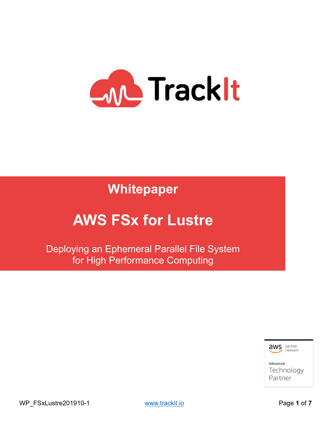

Whitepaper

# AWS FSx for Lustre

Deploying an Ephemeral Parallel File System for High Performance Computing



WP\_FSxLustre201910-1 www.trackit.io example and page 1 of 7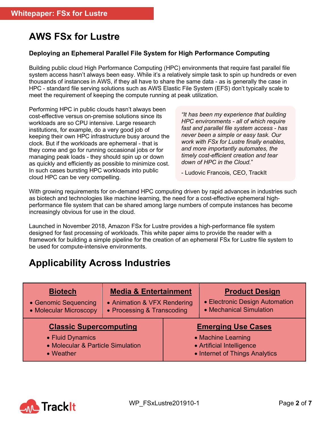# AWS FSx for Lustre

#### Deploying an Ephemeral Parallel File System for High Performance Computing

Building public cloud High Performance Computing (HPC) environments that require fast parallel file system access hasn't always been easy. While it's a relatively simple task to spin up hundreds or even thousands of instances in AWS, if they all have to share the same data - as is generally the case in HPC - standard file serving solutions such as AWS Elastic File System (EFS) don't typically scale to meet the requirement of keeping the compute running at peak utilization.

Performing HPC in public clouds hasn't always been cost-effective versus on-premise solutions since its workloads are so CPU intensive. Large research institutions, for example, do a very good job of keeping their own HPC infrastructure busy around the clock. But if the workloads are ephemeral - that is they come and go for running occasional jobs or for managing peak loads - they should spin up or down as quickly and efficiently as possible to minimize cost. In such cases bursting HPC workloads into public cloud HPC can be very compelling.

"It has been my experience that building HPC environments - all of which require fast and parallel file system access - has never been a simple or easy task. Our work with FSx for Lustre finally enables, and more importantly automates, the timely cost-efficient creation and tear down of HPC in the Cloud."

- Ludovic Francois, CEO, TrackIt

With growing requirements for on-demand HPC computing driven by rapid advances in industries such as biotech and technologies like machine learning, the need for a cost-effective ephemeral highperformance file system that can be shared among large numbers of compute instances has become increasingly obvious for use in the cloud.

Launched in November 2018, Amazon FSx for Lustre provides a high-performance file system designed for fast processing of workloads. This white paper aims to provide the reader with a framework for building a simple pipeline for the creation of an ephemeral FSx for Lustre file system to be used for compute-intensive environments.

### Applicability Across Industries

| <b>Biotech</b>                    | <b>Media &amp; Entertainment</b> |                                | <b>Product Design</b>          |
|-----------------------------------|----------------------------------|--------------------------------|--------------------------------|
| • Genomic Sequencing              | • Animation & VFX Rendering      |                                | • Electronic Design Automation |
| • Molecular Microscopy            | • Processing & Transcoding       |                                | • Mechanical Simulation        |
| <b>Classic Supercomputing</b>     |                                  | <b>Emerging Use Cases</b>      |                                |
| • Fluid Dynamics                  |                                  | • Machine Learning             |                                |
| • Molecular & Particle Simulation |                                  | • Artificial Intelligence      |                                |
| • Weather                         |                                  | • Internet of Things Analytics |                                |

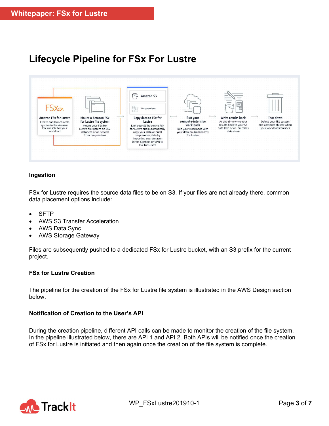## Lifecycle Pipeline for FSx For Lustre



#### Ingestion

FSx for Lustre requires the source data files to be on S3. If your files are not already there, common data placement options include:

- SFTP
- AWS S3 Transfer Acceleration
- AWS Data Sync
- AWS Storage Gateway

Files are subsequently pushed to a dedicated FSx for Lustre bucket, with an S3 prefix for the current project.

#### FSx for Lustre Creation

The pipeline for the creation of the FSx for Lustre file system is illustrated in the AWS Design section below.

#### Notification of Creation to the User's API

During the creation pipeline, different API calls can be made to monitor the creation of the file system. In the pipeline illustrated below, there are API 1 and API 2. Both APIs will be notified once the creation of FSx for Lustre is initiated and then again once the creation of the file system is complete.

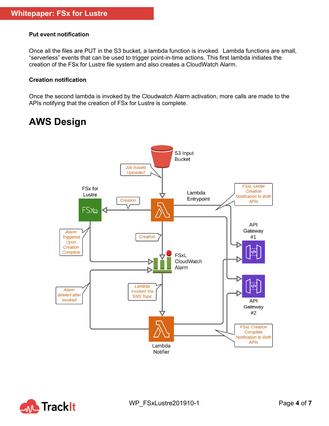#### Put event notification

Once all the files are PUT in the S3 bucket, a lambda function is invoked. Lambda functions are small, "serverless" events that can be used to trigger point-in-time actions. This first lambda initiates the creation of the FSx for Lustre file system and also creates a CloudWatch Alarm.

#### Creation notification

Once the second lambda is invoked by the Cloudwatch Alarm activation, more calls are made to the APIs notifying that the creation of FSx for Lustre is complete.

### AWS Design



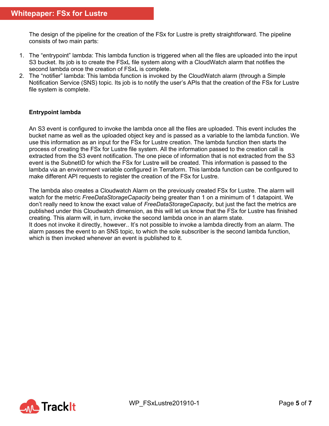The design of the pipeline for the creation of the FSx for Lustre is pretty straightforward. The pipeline consists of two main parts:

- 1. The "entrypoint" lambda: This lambda function is triggered when all the files are uploaded into the input S3 bucket. Its job is to create the FSxL file system along with a CloudWatch alarm that notifies the second lambda once the creation of FSxL is complete.
- 2. The "notifier" lambda: This lambda function is invoked by the CloudWatch alarm (through a Simple Notification Service (SNS) topic. Its job is to notify the user's APIs that the creation of the FSx for Lustre file system is complete.

#### Entrypoint lambda

An S3 event is configured to invoke the lambda once all the files are uploaded. This event includes the bucket name as well as the uploaded object key and is passed as a variable to the lambda function. We use this information as an input for the FSx for Lustre creation. The lambda function then starts the process of creating the FSx for Lustre file system. All the information passed to the creation call is extracted from the S3 event notification. The one piece of information that is not extracted from the S3 event is the SubnetID for which the FSx for Lustre will be created. This information is passed to the lambda via an environment variable configured in Terraform. This lambda function can be configured to make different API requests to register the creation of the FSx for Lustre.

The lambda also creates a Cloudwatch Alarm on the previously created FSx for Lustre. The alarm will watch for the metric FreeDataStorageCapacity being greater than 1 on a minimum of 1 datapoint. We don't really need to know the exact value of FreeDataStorageCapacity, but just the fact the metrics are published under this Cloudwatch dimension, as this will let us know that the FSx for Lustre has finished creating. This alarm will, in turn, invoke the second lambda once in an alarm state. It does not invoke it directly, however.. It's not possible to invoke a lambda directly from an alarm. The alarm passes the event to an SNS topic, to which the sole subscriber is the second lambda function, which is then invoked whenever an event is published to it.

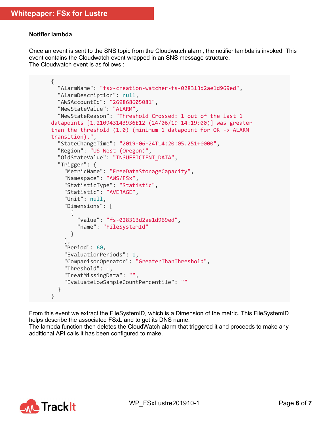#### Notifier lambda

Once an event is sent to the SNS topic from the Cloudwatch alarm, the notifier lambda is invoked. This event contains the Cloudwatch event wrapped in an SNS message structure. The Cloudwatch event is as follows :

```
{
   "AlarmName": "fsx-creation-watcher-fs-028313d2ae1d969ed", 
   "AlarmDescription": null, 
   "AWSAccountId": "269868605081", 
   "NewStateValue": "ALARM", 
   "NewStateReason": "Threshold Crossed: 1 out of the last 1 
datapoints [1.210943143936E12 (24/06/19 14:19:00)] was greater 
than the threshold (1.0) (minimum 1 datapoint for OK -> ALARM 
transition).", 
   "StateChangeTime": "2019-06-24T14:20:05.251+0000", 
   "Region": "US West (Oregon)", 
   "OldStateValue": "INSUFFICIENT_DATA", 
   "Trigger": { 
     "MetricName": "FreeDataStorageCapacity", 
     "Namespace": "AWS/FSx", 
     "StatisticType": "Statistic", 
     "Statistic": "AVERAGE", 
     "Unit": null, 
     "Dimensions": [ 
       { 
         "value": "fs-028313d2ae1d969ed", 
         "name": "FileSystemId"
       } 
     ], 
     "Period": 60, 
     "EvaluationPeriods": 1, 
     "ComparisonOperator": "GreaterThanThreshold", 
     "Threshold": 1, 
     "TreatMissingData": "", 
     "EvaluateLowSampleCountPercentile": ""
   } 
}
```
From this event we extract the FileSystemID, which is a Dimension of the metric. This FileSystemID helps describe the associated FSxL and to get its DNS name.

The lambda function then deletes the CloudWatch alarm that triggered it and proceeds to make any additional API calls it has been configured to make.